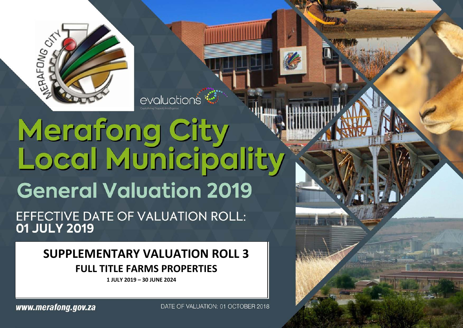

# Merafong City<br>Local Municipality **General Valuation 2019**

evaluations<sup>\*</sup>

EFFECTIVE DATE OF VALUATION ROLL: 01 JULY 2019

# **SUPPLEMENTARY VALUATION ROLL 3 FULL TITLE FARMS PROPERTIES**

**1 JULY 2019 – 30 JUNE 2024**

www.merafong.gov.za

DATE OF VALUATION: 01 OCTOBER 2018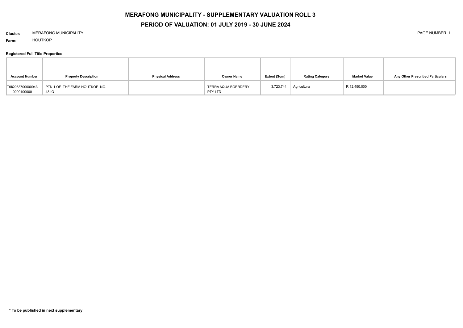# **MERAFONG MUNICIPALITY - SUPPLEMENTARY VALUATION ROLL 3**

# **PERIOD OF VALUATION: 01 JULY 2019 - 30 JUNE 2024**

# **Cluster:** MERAFONG MUNICIPALITY PAGE NUMBER 1

**Farm:** HOUTKOP

# **Registered Full Title Properties**

| <b>Account Number</b>          | <b>Property Description</b>              | <b>Physical Address</b> | <b>Owner Name</b>              | Extent (Sqm) | <b>Rating Category</b> | <b>Market Value</b> | Any Other Prescribed Particulars |
|--------------------------------|------------------------------------------|-------------------------|--------------------------------|--------------|------------------------|---------------------|----------------------------------|
| T0IQ063700000043<br>0000100000 | PTN 1 OF THE FARM HOUTKOP NO.<br>$43-IQ$ |                         | TERRA AQUA BOERDERY<br>PTY LTD | 3,723,744    | Agricultural           | R 12,490,000        |                                  |

**\* To be published in next supplementary**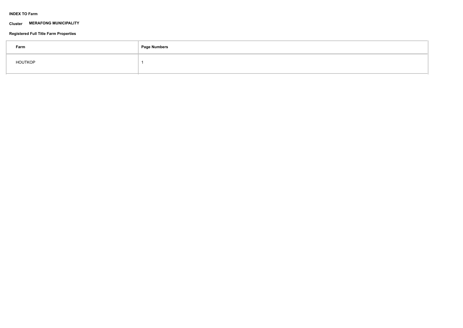# **INDEX TO Farm**

## **Cluster MERAFONG MUNICIPALITY**

# **Registered Full Title Farm Properties**

| Farm           | <b>Page Numbers</b> |
|----------------|---------------------|
| <b>HOUTKOP</b> |                     |